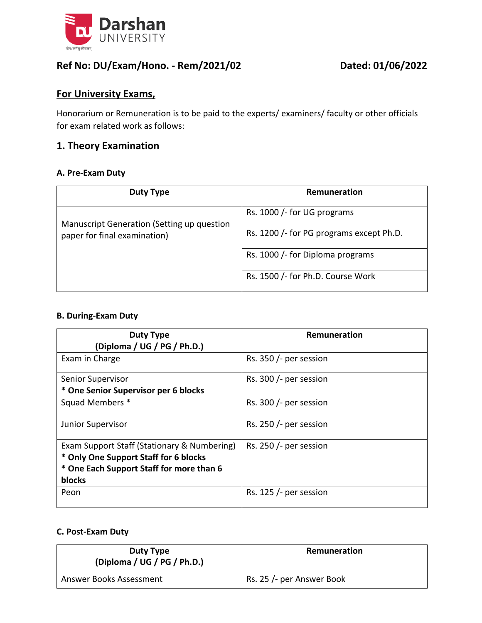

### **Ref No: DU/Exam/Hono. - Rem/2021/02 Dated: 01/06/2022**

### **For University Exams,**

Honorarium or Remuneration is to be paid to the experts/ examiners/ faculty or other officials for exam related work as follows:

### **1. Theory Examination**

#### **A. Pre-Exam Duty**

| Duty Type                                                                  | Remuneration                             |
|----------------------------------------------------------------------------|------------------------------------------|
| Manuscript Generation (Setting up question<br>paper for final examination) | Rs. 1000 / for UG programs               |
|                                                                            | Rs. 1200 /- for PG programs except Ph.D. |
|                                                                            | Rs. 1000 /- for Diploma programs         |
|                                                                            | Rs. 1500 /- for Ph.D. Course Work        |

#### **B. During-Exam Duty**

| <b>Duty Type</b>                                                                                                                           | Remuneration              |
|--------------------------------------------------------------------------------------------------------------------------------------------|---------------------------|
| (Diploma / UG / PG / Ph.D.)                                                                                                                |                           |
| Exam in Charge                                                                                                                             | Rs. 350 $/$ - per session |
| Senior Supervisor                                                                                                                          | Rs. 300 /- per session    |
| * One Senior Supervisor per 6 blocks                                                                                                       |                           |
| Squad Members *                                                                                                                            | Rs. 300 $/$ - per session |
| Junior Supervisor                                                                                                                          | Rs. 250 /- per session    |
| Exam Support Staff (Stationary & Numbering)<br>* Only One Support Staff for 6 blocks<br>* One Each Support Staff for more than 6<br>blocks | Rs. 250 /- per session    |
| Peon                                                                                                                                       | Rs. $125/$ - per session  |

#### **C. Post-Exam Duty**

| Duty Type<br>(Diploma / UG / PG / Ph.D.) | Remuneration              |
|------------------------------------------|---------------------------|
| Answer Books Assessment                  | Rs. 25 /- per Answer Book |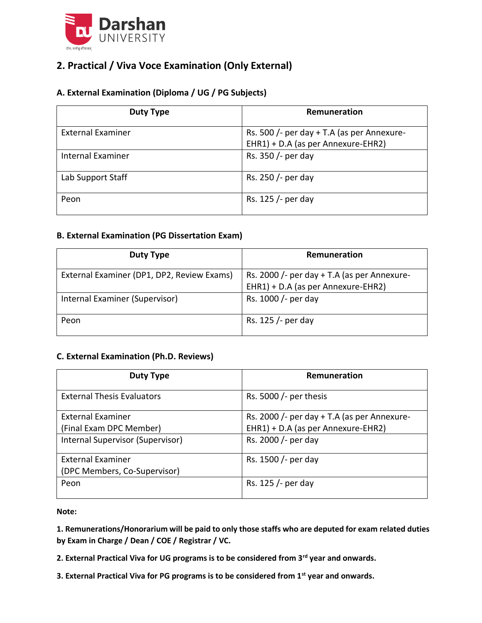

## **2. Practical / Viva Voce Examination (Only External)**

### **A. External Examination (Diploma / UG / PG Subjects)**

| Duty Type                | Remuneration                                                                     |
|--------------------------|----------------------------------------------------------------------------------|
| <b>External Examiner</b> | Rs. 500 /- per day + T.A (as per Annexure-<br>EHR1) + D.A (as per Annexure-EHR2) |
| <b>Internal Examiner</b> | Rs. 350 /- per day                                                               |
| Lab Support Staff        | Rs. 250 /- per day                                                               |
| Peon                     | Rs. 125 /- per day                                                               |

#### **B. External Examination (PG Dissertation Exam)**

| Duty Type                                  | Remuneration                                  |
|--------------------------------------------|-----------------------------------------------|
| External Examiner (DP1, DP2, Review Exams) | Rs. 2000 /- per day $+$ T.A (as per Annexure- |
|                                            | EHR1) + D.A (as per Annexure-EHR2)            |
| Internal Examiner (Supervisor)             | Rs. 1000 /- per day                           |
| Peon                                       | Rs. 125 /- per day                            |

#### **C. External Examination (Ph.D. Reviews)**

| Duty Type                         | Remuneration                                |
|-----------------------------------|---------------------------------------------|
| <b>External Thesis Evaluators</b> | Rs. 5000 $/$ - per thesis                   |
| <b>External Examiner</b>          | Rs. 2000 /- per day + T.A (as per Annexure- |
| (Final Exam DPC Member)           | EHR1) + D.A (as per Annexure-EHR2)          |
| Internal Supervisor (Supervisor)  | Rs. 2000 /- per day                         |
| <b>External Examiner</b>          | Rs. 1500 /- per day                         |
| (DPC Members, Co-Supervisor)      |                                             |
| Peon                              | Rs. 125 /- per day                          |

**Note:** 

**1. Remunerations/Honorarium will be paid to only those staffs who are deputed for exam related duties by Exam in Charge / Dean / COE / Registrar / VC.**

**2. External Practical Viva for UG programs is to be considered from 3rd year and onwards.**

**3. External Practical Viva for PG programs is to be considered from 1st year and onwards.**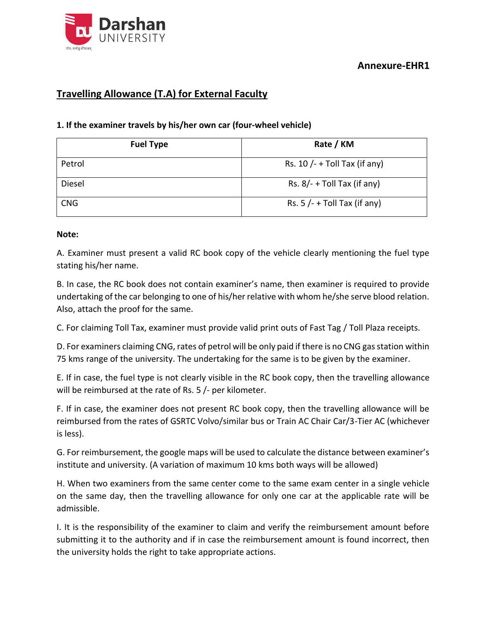

### **Annexure-EHR1**

## **Travelling Allowance (T.A) for External Faculty**

#### **1. If the examiner travels by his/her own car (four-wheel vehicle)**

| <b>Fuel Type</b> | Rate / KM                      |
|------------------|--------------------------------|
| Petrol           | Rs. $10/- +$ Toll Tax (if any) |
| Diesel           | Rs. $8/- +$ Toll Tax (if any)  |
| <b>CNG</b>       | Rs. $5/- +$ Toll Tax (if any)  |

#### **Note:**

A. Examiner must present a valid RC book copy of the vehicle clearly mentioning the fuel type stating his/her name.

B. In case, the RC book does not contain examiner's name, then examiner is required to provide undertaking of the car belonging to one of his/her relative with whom he/she serve blood relation. Also, attach the proof for the same.

C. For claiming Toll Tax, examiner must provide valid print outs of Fast Tag / Toll Plaza receipts.

D. For examiners claiming CNG, rates of petrol will be only paid if there is no CNG gas station within 75 kms range of the university. The undertaking for the same is to be given by the examiner.

E. If in case, the fuel type is not clearly visible in the RC book copy, then the travelling allowance will be reimbursed at the rate of Rs. 5 /- per kilometer.

F. If in case, the examiner does not present RC book copy, then the travelling allowance will be reimbursed from the rates of GSRTC Volvo/similar bus or Train AC Chair Car/3-Tier AC (whichever is less).

G. For reimbursement, the google maps will be used to calculate the distance between examiner's institute and university. (A variation of maximum 10 kms both ways will be allowed)

H. When two examiners from the same center come to the same exam center in a single vehicle on the same day, then the travelling allowance for only one car at the applicable rate will be admissible.

I. It is the responsibility of the examiner to claim and verify the reimbursement amount before submitting it to the authority and if in case the reimbursement amount is found incorrect, then the university holds the right to take appropriate actions.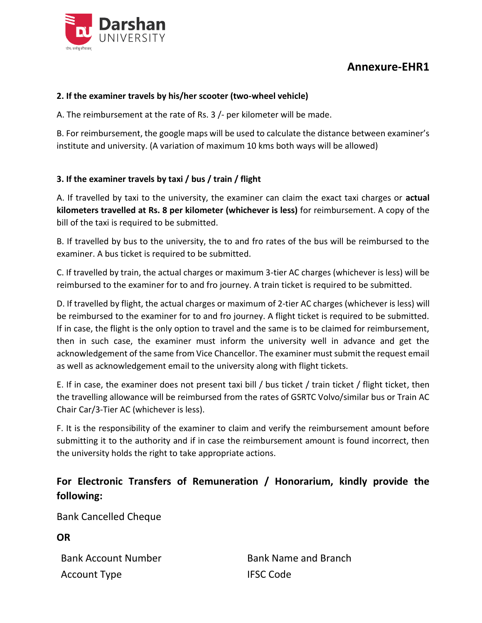

# **Annexure-EHR1**

#### **2. If the examiner travels by his/her scooter (two-wheel vehicle)**

A. The reimbursement at the rate of Rs. 3 /- per kilometer will be made.

B. For reimbursement, the google maps will be used to calculate the distance between examiner's institute and university. (A variation of maximum 10 kms both ways will be allowed)

### **3. If the examiner travels by taxi / bus / train / flight**

A. If travelled by taxi to the university, the examiner can claim the exact taxi charges or **actual kilometers travelled at Rs. 8 per kilometer (whichever is less)** for reimbursement. A copy of the bill of the taxi is required to be submitted.

B. If travelled by bus to the university, the to and fro rates of the bus will be reimbursed to the examiner. A bus ticket is required to be submitted.

C. If travelled by train, the actual charges or maximum 3-tier AC charges (whichever is less) will be reimbursed to the examiner for to and fro journey. A train ticket is required to be submitted.

D. If travelled by flight, the actual charges or maximum of 2-tier AC charges (whichever is less) will be reimbursed to the examiner for to and fro journey. A flight ticket is required to be submitted. If in case, the flight is the only option to travel and the same is to be claimed for reimbursement, then in such case, the examiner must inform the university well in advance and get the acknowledgement of the same from Vice Chancellor. The examiner must submit the request email as well as acknowledgement email to the university along with flight tickets.

E. If in case, the examiner does not present taxi bill / bus ticket / train ticket / flight ticket, then the travelling allowance will be reimbursed from the rates of GSRTC Volvo/similar bus or Train AC Chair Car/3-Tier AC (whichever is less).

F. It is the responsibility of the examiner to claim and verify the reimbursement amount before submitting it to the authority and if in case the reimbursement amount is found incorrect, then the university holds the right to take appropriate actions.

## **For Electronic Transfers of Remuneration / Honorarium, kindly provide the following:**

Bank Cancelled Cheque

**OR**

Account Type **IFSC** Code

Bank Account Number Bank Name and Branch